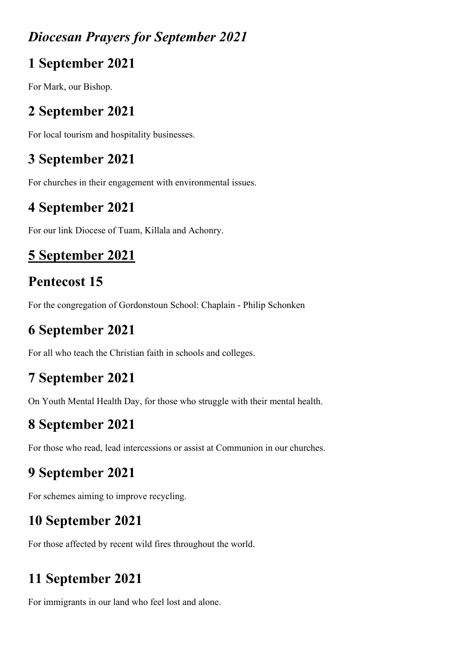#### *Diocesan Prayers for September 2021*

### **1 September 2021**

For Mark, our Bishop.

# **2 September 2021**

For local tourism and hospitality businesses.

# **3 September 2021**

For churches in their engagement with environmental issues.

## **4 September 2021**

For our link Diocese of Tuam, Killala and Achonry.

# **5 September 2021**

# **Pentecost 15**

For the congregation of Gordonstoun School: Chaplain - Philip Schonken

# **6 September 2021**

For all who teach the Christian faith in schools and colleges.

# **7 September 2021**

On Youth Mental Health Day, for those who struggle with their mental health.

# **8 September 2021**

For those who read, lead intercessions or assist at Communion in our churches.

# **9 September 2021**

For schemes aiming to improve recycling.

# **10 September 2021**

For those affected by recent wild fires throughout the world.

# **11 September 2021**

For immigrants in our land who feel lost and alone.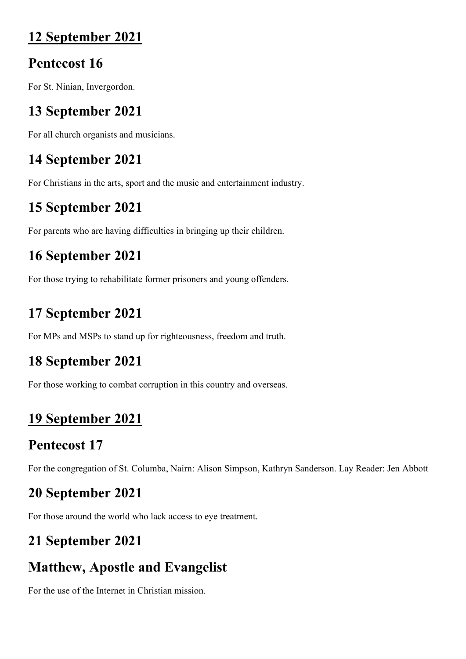#### **12 September 2021**

#### **Pentecost 16**

For St. Ninian, Invergordon.

## **13 September 2021**

For all church organists and musicians.

### **14 September 2021**

For Christians in the arts, sport and the music and entertainment industry.

### **15 September 2021**

For parents who are having difficulties in bringing up their children.

## **16 September 2021**

For those trying to rehabilitate former prisoners and young offenders.

## **17 September 2021**

For MPs and MSPs to stand up for righteousness, freedom and truth.

### **18 September 2021**

For those working to combat corruption in this country and overseas.

## **19 September 2021**

### **Pentecost 17**

For the congregation of St. Columba, Nairn: Alison Simpson, Kathryn Sanderson. Lay Reader: Jen Abbott

# **20 September 2021**

For those around the world who lack access to eye treatment.

## **21 September 2021**

## **Matthew, Apostle and Evangelist**

For the use of the Internet in Christian mission.